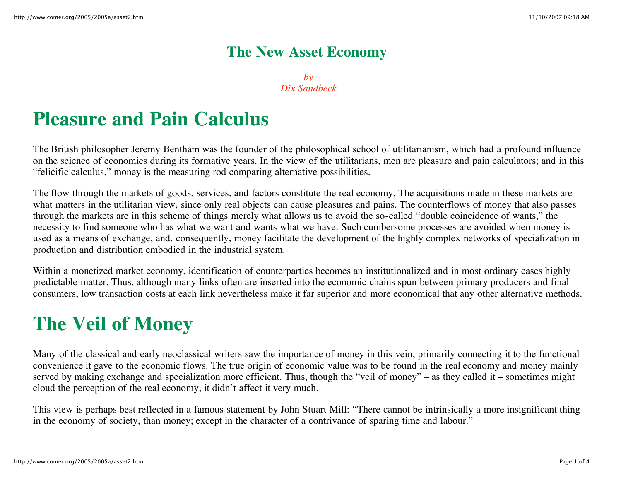#### **The New Asset Economy**

*by Dix Sandbeck*

#### **Pleasure and Pain Calculus**

The British philosopher Jeremy Bentham was the founder of the philosophical school of utilitarianism, which had a profound influence on the science of economics during its formative years. In the view of the utilitarians, men are pleasure and pain calculators; and in this "felicific calculus," money is the measuring rod comparing alternative possibilities.

The flow through the markets of goods, services, and factors constitute the real economy. The acquisitions made in these markets are what matters in the utilitarian view, since only real objects can cause pleasures and pains. The counterflows of money that also passes through the markets are in this scheme of things merely what allows us to avoid the so-called "double coincidence of wants," the necessity to find someone who has what we want and wants what we have. Such cumbersome processes are avoided when money is used as a means of exchange, and, consequently, money facilitate the development of the highly complex networks of specialization in production and distribution embodied in the industrial system.

Within a monetized market economy, identification of counterparties becomes an institutionalized and in most ordinary cases highly predictable matter. Thus, although many links often are inserted into the economic chains spun between primary producers and final consumers, low transaction costs at each link nevertheless make it far superior and more economical that any other alternative methods.

### **The Veil of Money**

Many of the classical and early neoclassical writers saw the importance of money in this vein, primarily connecting it to the functional convenience it gave to the economic flows. The true origin of economic value was to be found in the real economy and money mainly served by making exchange and specialization more efficient. Thus, though the "veil of money" – as they called it – sometimes might cloud the perception of the real economy, it didn't affect it very much.

This view is perhaps best reflected in a famous statement by John Stuart Mill: "There cannot be intrinsically a more insignificant thing in the economy of society, than money; except in the character of a contrivance of sparing time and labour."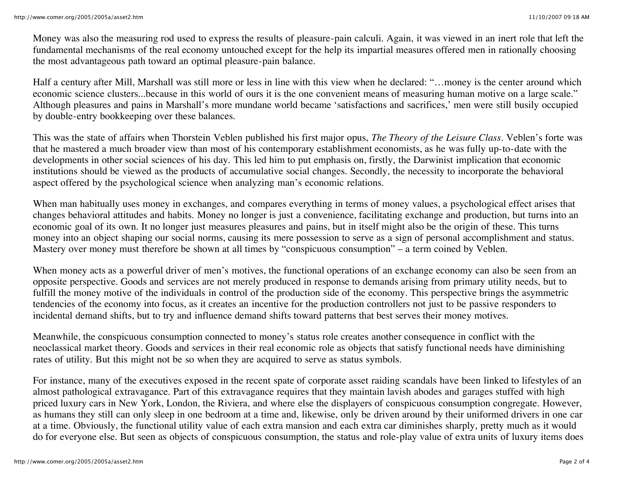Money was also the measuring rod used to express the results of pleasure-pain calculi. Again, it was viewed in an inert role that left the fundamental mechanisms of the real economy untouched except for the help its impartial measures offered men in rationally choosing the most advantageous path toward an optimal pleasure-pain balance.

Half a century after Mill, Marshall was still more or less in line with this view when he declared: "…money is the center around which economic science clusters...because in this world of ours it is the one convenient means of measuring human motive on a large scale." Although pleasures and pains in Marshall's more mundane world became 'satisfactions and sacrifices,' men were still busily occupied by double-entry bookkeeping over these balances.

This was the state of affairs when Thorstein Veblen published his first major opus, *The Theory of the Leisure Class*. Veblen's forte was that he mastered a much broader view than most of his contemporary establishment economists, as he was fully up-to-date with the developments in other social sciences of his day. This led him to put emphasis on, firstly, the Darwinist implication that economic institutions should be viewed as the products of accumulative social changes. Secondly, the necessity to incorporate the behavioral aspect offered by the psychological science when analyzing man's economic relations.

When man habitually uses money in exchanges, and compares everything in terms of money values, a psychological effect arises that changes behavioral attitudes and habits. Money no longer is just a convenience, facilitating exchange and production, but turns into an economic goal of its own. It no longer just measures pleasures and pains, but in itself might also be the origin of these. This turns money into an object shaping our social norms, causing its mere possession to serve as a sign of personal accomplishment and status. Mastery over money must therefore be shown at all times by "conspicuous consumption" – a term coined by Veblen.

When money acts as a powerful driver of men's motives, the functional operations of an exchange economy can also be seen from an opposite perspective. Goods and services are not merely produced in response to demands arising from primary utility needs, but to fulfill the money motive of the individuals in control of the production side of the economy. This perspective brings the asymmetric tendencies of the economy into focus, as it creates an incentive for the production controllers not just to be passive responders to incidental demand shifts, but to try and influence demand shifts toward patterns that best serves their money motives.

Meanwhile, the conspicuous consumption connected to money's status role creates another consequence in conflict with the neoclassical market theory. Goods and services in their real economic role as objects that satisfy functional needs have diminishing rates of utility. But this might not be so when they are acquired to serve as status symbols.

For instance, many of the executives exposed in the recent spate of corporate asset raiding scandals have been linked to lifestyles of an almost pathological extravagance. Part of this extravagance requires that they maintain lavish abodes and garages stuffed with high priced luxury cars in New York, London, the Riviera, and where else the displayers of conspicuous consumption congregate. However, as humans they still can only sleep in one bedroom at a time and, likewise, only be driven around by their uniformed drivers in one car at a time. Obviously, the functional utility value of each extra mansion and each extra car diminishes sharply, pretty much as it would do for everyone else. But seen as objects of conspicuous consumption, the status and role-play value of extra units of luxury items does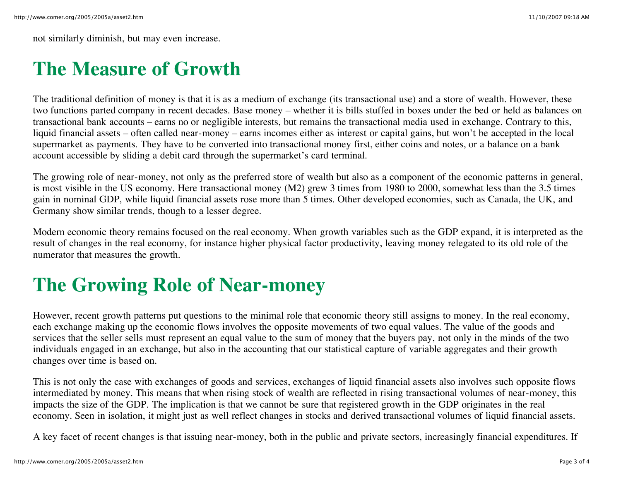not similarly diminish, but may even increase.

## **The Measure of Growth**

The traditional definition of money is that it is as a medium of exchange (its transactional use) and a store of wealth. However, these two functions parted company in recent decades. Base money – whether it is bills stuffed in boxes under the bed or held as balances on transactional bank accounts – earns no or negligible interests, but remains the transactional media used in exchange. Contrary to this, liquid financial assets – often called near-money – earns incomes either as interest or capital gains, but won't be accepted in the local supermarket as payments. They have to be converted into transactional money first, either coins and notes, or a balance on a bank account accessible by sliding a debit card through the supermarket's card terminal.

The growing role of near-money, not only as the preferred store of wealth but also as a component of the economic patterns in general, is most visible in the US economy. Here transactional money (M2) grew 3 times from 1980 to 2000, somewhat less than the 3.5 times gain in nominal GDP, while liquid financial assets rose more than 5 times. Other developed economies, such as Canada, the UK, and Germany show similar trends, though to a lesser degree.

Modern economic theory remains focused on the real economy. When growth variables such as the GDP expand, it is interpreted as the result of changes in the real economy, for instance higher physical factor productivity, leaving money relegated to its old role of the numerator that measures the growth.

# **The Growing Role of Near-money**

However, recent growth patterns put questions to the minimal role that economic theory still assigns to money. In the real economy, each exchange making up the economic flows involves the opposite movements of two equal values. The value of the goods and services that the seller sells must represent an equal value to the sum of money that the buyers pay, not only in the minds of the two individuals engaged in an exchange, but also in the accounting that our statistical capture of variable aggregates and their growth changes over time is based on.

This is not only the case with exchanges of goods and services, exchanges of liquid financial assets also involves such opposite flows intermediated by money. This means that when rising stock of wealth are reflected in rising transactional volumes of near-money, this impacts the size of the GDP. The implication is that we cannot be sure that registered growth in the GDP originates in the real economy. Seen in isolation, it might just as well reflect changes in stocks and derived transactional volumes of liquid financial assets.

A key facet of recent changes is that issuing near-money, both in the public and private sectors, increasingly financial expenditures. If